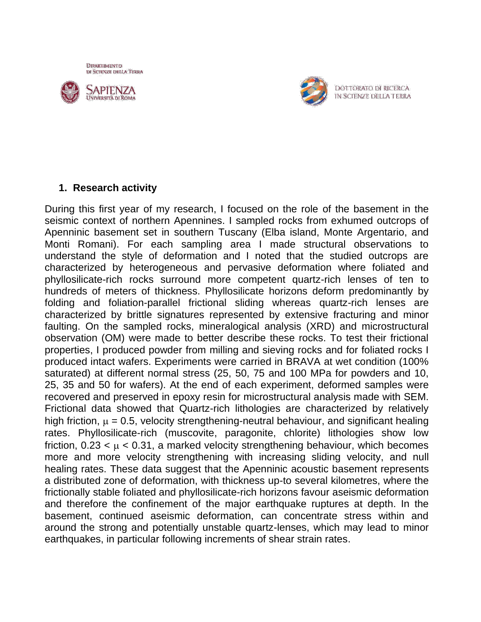DIPARTIMENTO DI SCIENZE DELLA TERRA





DOTTORATO DI RICERCA IN SCIENZE DELLA TERRA

## **1. Research activity**

During this first year of my research, I focused on the role of the basement in the seismic context of northern Apennines. I sampled rocks from exhumed outcrops of Apenninic basement set in southern Tuscany (Elba island, Monte Argentario, and Monti Romani). For each sampling area I made structural observations to understand the style of deformation and I noted that the studied outcrops are characterized by heterogeneous and pervasive deformation where foliated and phyllosilicate-rich rocks surround more competent quartz-rich lenses of ten to hundreds of meters of thickness. Phyllosilicate horizons deform predominantly by folding and foliation-parallel frictional sliding whereas quartz-rich lenses are characterized by brittle signatures represented by extensive fracturing and minor faulting. On the sampled rocks, mineralogical analysis (XRD) and microstructural observation (OM) were made to better describe these rocks. To test their frictional properties, I produced powder from milling and sieving rocks and for foliated rocks I produced intact wafers. Experiments were carried in BRAVA at wet condition (100% saturated) at different normal stress (25, 50, 75 and 100 MPa for powders and 10, 25, 35 and 50 for wafers). At the end of each experiment, deformed samples were recovered and preserved in epoxy resin for microstructural analysis made with SEM. Frictional data showed that Quartz-rich lithologies are characterized by relatively high friction,  $\mu = 0.5$ , velocity strengthening-neutral behaviour, and significant healing rates. Phyllosilicate-rich (muscovite, paragonite, chlorite) lithologies show low friction,  $0.23 < \mu < 0.31$ , a marked velocity strengthening behaviour, which becomes more and more velocity strengthening with increasing sliding velocity, and null healing rates. These data suggest that the Apenninic acoustic basement represents a distributed zone of deformation, with thickness up-to several kilometres, where the frictionally stable foliated and phyllosilicate-rich horizons favour aseismic deformation and therefore the confinement of the major earthquake ruptures at depth. In the basement, continued aseismic deformation, can concentrate stress within and around the strong and potentially unstable quartz-lenses, which may lead to minor earthquakes, in particular following increments of shear strain rates.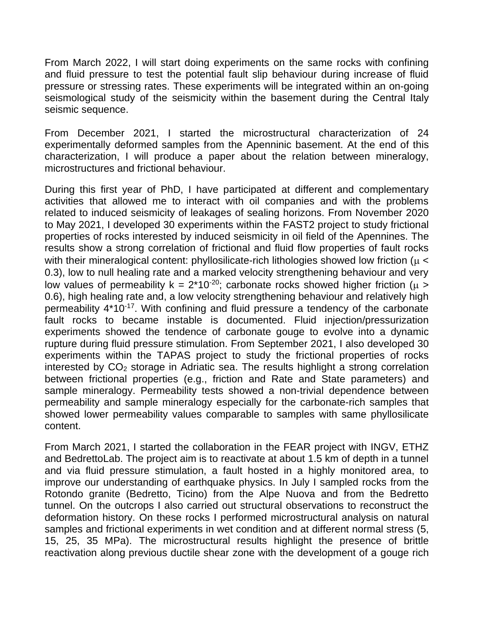From March 2022, I will start doing experiments on the same rocks with confining and fluid pressure to test the potential fault slip behaviour during increase of fluid pressure or stressing rates. These experiments will be integrated within an on-going seismological study of the seismicity within the basement during the Central Italy seismic sequence.

From December 2021, I started the microstructural characterization of 24 experimentally deformed samples from the Apenninic basement. At the end of this characterization, I will produce a paper about the relation between mineralogy, microstructures and frictional behaviour.

During this first year of PhD, I have participated at different and complementary activities that allowed me to interact with oil companies and with the problems related to induced seismicity of leakages of sealing horizons. From November 2020 to May 2021, I developed 30 experiments within the FAST2 project to study frictional properties of rocks interested by induced seismicity in oil field of the Apennines. The results show a strong correlation of frictional and fluid flow properties of fault rocks with their mineralogical content: phyllosilicate-rich lithologies showed low friction ( $\mu$  < 0.3), low to null healing rate and a marked velocity strengthening behaviour and very low values of permeability  $k = 2*10^{-20}$ ; carbonate rocks showed higher friction ( $\mu$  > 0.6), high healing rate and, a low velocity strengthening behaviour and relatively high permeability 4\*10-17. With confining and fluid pressure a tendency of the carbonate fault rocks to became instable is documented. Fluid injection/pressurization experiments showed the tendence of carbonate gouge to evolve into a dynamic rupture during fluid pressure stimulation. From September 2021, I also developed 30 experiments within the TAPAS project to study the frictional properties of rocks interested by  $CO<sub>2</sub>$  storage in Adriatic sea. The results highlight a strong correlation between frictional properties (e.g., friction and Rate and State parameters) and sample mineralogy. Permeability tests showed a non-trivial dependence between permeability and sample mineralogy especially for the carbonate-rich samples that showed lower permeability values comparable to samples with same phyllosilicate content.

From March 2021, I started the collaboration in the FEAR project with INGV, ETHZ and BedrettoLab. The project aim is to reactivate at about 1.5 km of depth in a tunnel and via fluid pressure stimulation, a fault hosted in a highly monitored area, to improve our understanding of earthquake physics. In July I sampled rocks from the Rotondo granite (Bedretto, Ticino) from the Alpe Nuova and from the Bedretto tunnel. On the outcrops I also carried out structural observations to reconstruct the deformation history. On these rocks I performed microstructural analysis on natural samples and frictional experiments in wet condition and at different normal stress (5, 15, 25, 35 MPa). The microstructural results highlight the presence of brittle reactivation along previous ductile shear zone with the development of a gouge rich